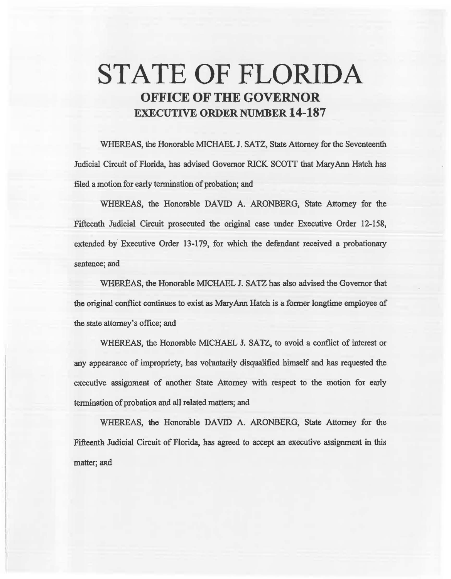## **STATE OF FLORIDA OFFICE OF THE GOVERNOR EXECUTIVE ORDER NUMBER 14-187**

WHEREAS, the Honorable MICHAEL J. SATZ, State Attomey for the Seventeenth Judicial Circuit of Florida, has advised Governor RICK SCOTT that Mary Ann Hatch has filed a motion for early termination of probation; and

WHEREAS, the Honorable DAVID A. ARONBERG, State Attorney for the Fifteenth Judicial Circuit prosecuted the original case under Executive Order 12-158, extended by Executive Order 13-179, for which the defendant received a probationary sentence; and

WHEREAS, the Honorable MICHAEL J. SATZ has also advised the Governor that the original conflict continues to exist as Mary Ann Hatch is a former longtime employee of the state attorney's office; and

WHEREAS, the Honorable MICHAEL J. SATZ, to avoid a conflict of interest or any appearance of impropriety, has voluntarily disqualified himself and has requested the executive assignment of another State Attorney with respect to the motion for early termination of probation and all related matters; and

WHEREAS, the Honorable DAVID A. ARONBERG, State Attorney for the Fifteenth Judicial Circuit of Florida, has agreed to accept an executive assignment in this matter; and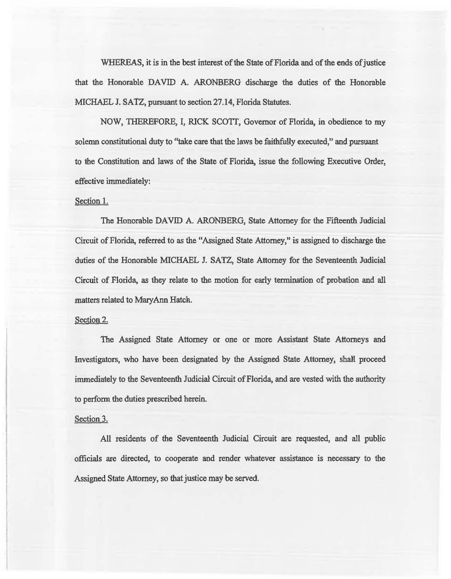WHEREAS, it is in the best interest of the State of Florida and of the ends of justice that the Honorable DAVID A. ARONBERG discharge the duties of the Honorable MICHAEL J. SATZ, pursuant to section 27 .14, Florida Statutes.

NOW, THERBFORE, I, RICK SCOTI, Governor of Florida, in obedience to my solemn constitutional duty to "take care that the laws be faithfully executed," and pursuant to the Constitution and laws of the State of Florida, issue the following Executive Order, effective immediately:

## Section 1.

The Honorable DAVID A. ARONBERG, State Attomey for the Fifteenth Judicial Circuit of Florida, referred to as the "Assigned State Attorney," is assigned to discharge the duties of the Honorable MICHAEL J. SATZ, State Attorney for the Seventeenth Judicial Circuit of Florida, as they relate to the motion for early termination of probation and all matters related to MaryAnn Hatch.

## Section 2.

The Assigned State Attomey or one or more Assistant State Attorneys and Investigators, who have been designated by the Assigned State Attorney, shaM proceed immediately to the Seventeenth Judicial Circuit of Florida, and are vested with the authority to perform the duties prescribed herein.

## Section 3.

All residents of the Seventeenth Judicial Circuit are requested, and all public officials are directed, to cooperate and render whatever assistance is necessary to the Assigned State Attorney, so that justice may be served.